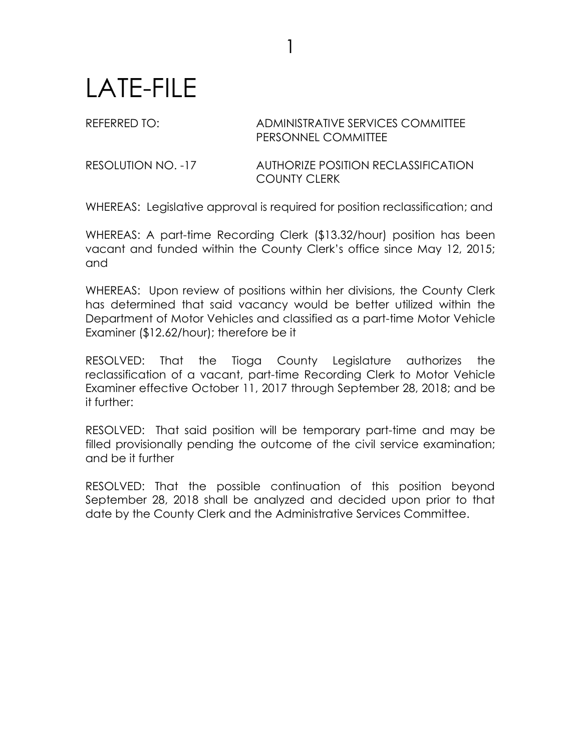## LATE-FILE

## REFERRED TO: ADMINISTRATIVE SERVICES COMMITTEE PERSONNEL COMMITTEE

RESOLUTION NO. -17 AUTHORIZE POSITION RECLASSIFICATION COUNTY CLERK

WHEREAS: Legislative approval is required for position reclassification; and

1

WHEREAS: A part-time Recording Clerk (\$13.32/hour) position has been vacant and funded within the County Clerk's office since May 12, 2015; and

WHEREAS: Upon review of positions within her divisions, the County Clerk has determined that said vacancy would be better utilized within the Department of Motor Vehicles and classified as a part-time Motor Vehicle Examiner (\$12.62/hour); therefore be it

RESOLVED: That the Tioga County Legislature authorizes the reclassification of a vacant, part-time Recording Clerk to Motor Vehicle Examiner effective October 11, 2017 through September 28, 2018; and be it further:

RESOLVED: That said position will be temporary part-time and may be filled provisionally pending the outcome of the civil service examination; and be it further

RESOLVED: That the possible continuation of this position beyond September 28, 2018 shall be analyzed and decided upon prior to that date by the County Clerk and the Administrative Services Committee.